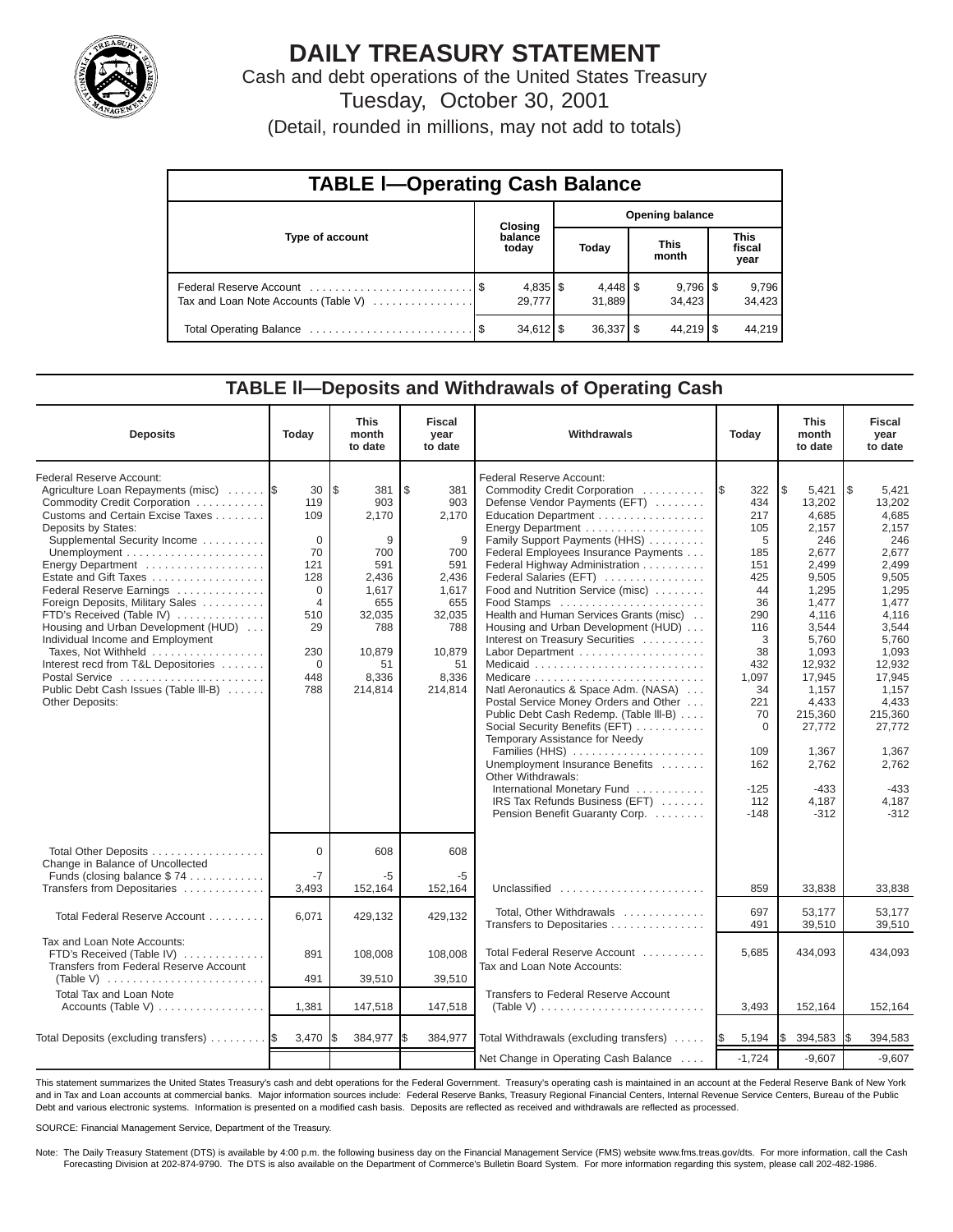

# **DAILY TREASURY STATEMENT**

Cash and debt operations of the United States Treasury Tuesday, October 30, 2001

(Detail, rounded in millions, may not add to totals)

| <b>TABLE I-Operating Cash Balance</b> |  |                      |                        |                                 |  |                        |                               |                 |  |  |  |
|---------------------------------------|--|----------------------|------------------------|---------------------------------|--|------------------------|-------------------------------|-----------------|--|--|--|
|                                       |  | Closing              | <b>Opening balance</b> |                                 |  |                        |                               |                 |  |  |  |
| Type of account                       |  | balance<br>today     |                        | Today                           |  | <b>This</b><br>month   | <b>This</b><br>fiscal<br>year |                 |  |  |  |
| Tax and Loan Note Accounts (Table V)  |  | $4,835$ \$<br>29.777 |                        | $4,448$ $\frac{8}{3}$<br>31.889 |  | $9,796$ \ \$<br>34.423 |                               | 9,796<br>34,423 |  |  |  |
|                                       |  | $34,612$ \$          |                        | $36,337$ $\frac{8}{3}$          |  | $44,219$ $\sqrt{5}$    |                               | 44.219          |  |  |  |

### **TABLE ll—Deposits and Withdrawals of Operating Cash**

| <b>Deposits</b>                                                                                                                                                                                                                                                                                                                                                                                                                                                                                                                                             | Today                                                                                                                              | <b>This</b><br>month<br>to date                                                                                             | <b>Fiscal</b><br>year<br>to date                                                                                           | Withdrawals                                                                                                                                                                                                                                                                                                                                                                                                                                                                                                                                                                                                                                                                                                                                                                                                                                           | Today                                                                                                                                                                                     | <b>This</b><br>month<br>to date                                                                                                                                                                                                           | <b>Fiscal</b><br>year<br>to date                                                                                                                                                                                                            |
|-------------------------------------------------------------------------------------------------------------------------------------------------------------------------------------------------------------------------------------------------------------------------------------------------------------------------------------------------------------------------------------------------------------------------------------------------------------------------------------------------------------------------------------------------------------|------------------------------------------------------------------------------------------------------------------------------------|-----------------------------------------------------------------------------------------------------------------------------|----------------------------------------------------------------------------------------------------------------------------|-------------------------------------------------------------------------------------------------------------------------------------------------------------------------------------------------------------------------------------------------------------------------------------------------------------------------------------------------------------------------------------------------------------------------------------------------------------------------------------------------------------------------------------------------------------------------------------------------------------------------------------------------------------------------------------------------------------------------------------------------------------------------------------------------------------------------------------------------------|-------------------------------------------------------------------------------------------------------------------------------------------------------------------------------------------|-------------------------------------------------------------------------------------------------------------------------------------------------------------------------------------------------------------------------------------------|---------------------------------------------------------------------------------------------------------------------------------------------------------------------------------------------------------------------------------------------|
| Federal Reserve Account:<br>Agriculture Loan Repayments (misc)<br>Commodity Credit Corporation<br>Customs and Certain Excise Taxes<br>Deposits by States:<br>Supplemental Security Income<br>Energy Department<br>Estate and Gift Taxes<br>Federal Reserve Earnings<br>Foreign Deposits, Military Sales<br>FTD's Received (Table IV)<br>Housing and Urban Development (HUD)<br>Individual Income and Employment<br>Taxes, Not Withheld<br>Interest recd from T&L Depositories<br>Postal Service<br>Public Debt Cash Issues (Table III-B)<br>Other Deposits: | 30<br>119<br>109<br>$\mathbf 0$<br>70<br>121<br>128<br>$\Omega$<br>$\overline{4}$<br>510<br>29<br>230<br>$\mathbf 0$<br>448<br>788 | l\$<br>381<br>903<br>2,170<br>9<br>700<br>591<br>2,436<br>1,617<br>655<br>32,035<br>788<br>10,879<br>51<br>8,336<br>214,814 | \$<br>381<br>903<br>2,170<br>9<br>700<br>591<br>2,436<br>1,617<br>655<br>32,035<br>788<br>10,879<br>51<br>8,336<br>214,814 | Federal Reserve Account:<br>Commodity Credit Corporation<br>Defense Vendor Payments (EFT)<br>Education Department<br>Energy Department<br>Family Support Payments (HHS)<br>Federal Employees Insurance Payments<br>Federal Highway Administration<br>Federal Salaries (EFT)<br>Food and Nutrition Service (misc)<br>Food Stamps<br>Health and Human Services Grants (misc)<br>Housing and Urban Development (HUD)<br>Interest on Treasury Securities<br>Labor Department<br>Natl Aeronautics & Space Adm. (NASA)<br>Postal Service Money Orders and Other<br>Public Debt Cash Redemp. (Table III-B)<br>Social Security Benefits (EFT)<br>Temporary Assistance for Needy<br>Families (HHS)<br>Unemployment Insurance Benefits<br>Other Withdrawals:<br>International Monetary Fund<br>IRS Tax Refunds Business (EFT)<br>Pension Benefit Guaranty Corp. | 322<br>I\$<br>434<br>217<br>105<br>5<br>185<br>151<br>425<br>44<br>36<br>290<br>116<br>3<br>38<br>432<br>1,097<br>34<br>221<br>70<br>$\mathbf 0$<br>109<br>162<br>$-125$<br>112<br>$-148$ | \$<br>5,421<br>13,202<br>4,685<br>2,157<br>246<br>2,677<br>2,499<br>9,505<br>1,295<br>1,477<br>4,116<br>3,544<br>5,760<br>1,093<br>12,932<br>17,945<br>1,157<br>4,433<br>215,360<br>27,772<br>1.367<br>2,762<br>$-433$<br>4,187<br>$-312$ | l \$<br>5,421<br>13,202<br>4,685<br>2,157<br>246<br>2,677<br>2,499<br>9,505<br>1,295<br>1,477<br>4,116<br>3,544<br>5,760<br>1,093<br>12,932<br>17,945<br>1,157<br>4,433<br>215,360<br>27.772<br>1,367<br>2,762<br>$-433$<br>4,187<br>$-312$ |
| Total Other Deposits<br>Change in Balance of Uncollected<br>Funds (closing balance \$74                                                                                                                                                                                                                                                                                                                                                                                                                                                                     | $\Omega$<br>$-7$                                                                                                                   | 608<br>-5                                                                                                                   | 608<br>-5                                                                                                                  |                                                                                                                                                                                                                                                                                                                                                                                                                                                                                                                                                                                                                                                                                                                                                                                                                                                       |                                                                                                                                                                                           |                                                                                                                                                                                                                                           |                                                                                                                                                                                                                                             |
| Transfers from Depositaries                                                                                                                                                                                                                                                                                                                                                                                                                                                                                                                                 | 3,493                                                                                                                              | 152,164                                                                                                                     | 152,164                                                                                                                    | Unclassified                                                                                                                                                                                                                                                                                                                                                                                                                                                                                                                                                                                                                                                                                                                                                                                                                                          | 859                                                                                                                                                                                       | 33,838                                                                                                                                                                                                                                    | 33,838                                                                                                                                                                                                                                      |
| Total Federal Reserve Account                                                                                                                                                                                                                                                                                                                                                                                                                                                                                                                               | 6,071                                                                                                                              | 429,132                                                                                                                     | 429,132                                                                                                                    | Total, Other Withdrawals<br>Transfers to Depositaries                                                                                                                                                                                                                                                                                                                                                                                                                                                                                                                                                                                                                                                                                                                                                                                                 | 697<br>491                                                                                                                                                                                | 53.177<br>39,510                                                                                                                                                                                                                          | 53.177<br>39,510                                                                                                                                                                                                                            |
| Tax and Loan Note Accounts:<br>FTD's Received (Table IV)<br>Transfers from Federal Reserve Account                                                                                                                                                                                                                                                                                                                                                                                                                                                          | 891                                                                                                                                | 108,008                                                                                                                     | 108,008                                                                                                                    | Total Federal Reserve Account<br>Tax and Loan Note Accounts:                                                                                                                                                                                                                                                                                                                                                                                                                                                                                                                                                                                                                                                                                                                                                                                          | 5,685                                                                                                                                                                                     | 434,093                                                                                                                                                                                                                                   | 434.093                                                                                                                                                                                                                                     |
| (Table V)<br><b>Total Tax and Loan Note</b>                                                                                                                                                                                                                                                                                                                                                                                                                                                                                                                 | 491                                                                                                                                | 39,510                                                                                                                      | 39,510                                                                                                                     | <b>Transfers to Federal Reserve Account</b>                                                                                                                                                                                                                                                                                                                                                                                                                                                                                                                                                                                                                                                                                                                                                                                                           |                                                                                                                                                                                           |                                                                                                                                                                                                                                           |                                                                                                                                                                                                                                             |
| Accounts (Table V)                                                                                                                                                                                                                                                                                                                                                                                                                                                                                                                                          | 1,381                                                                                                                              | 147,518                                                                                                                     | 147,518                                                                                                                    | (Table V) $\ldots \ldots \ldots \ldots \ldots \ldots \ldots \ldots$                                                                                                                                                                                                                                                                                                                                                                                                                                                                                                                                                                                                                                                                                                                                                                                   | 3,493                                                                                                                                                                                     | 152,164                                                                                                                                                                                                                                   | 152,164                                                                                                                                                                                                                                     |
| Total Deposits (excluding transfers)                                                                                                                                                                                                                                                                                                                                                                                                                                                                                                                        | 3,470                                                                                                                              | 384,977                                                                                                                     | 384,977<br>l\$                                                                                                             | Total Withdrawals (excluding transfers)                                                                                                                                                                                                                                                                                                                                                                                                                                                                                                                                                                                                                                                                                                                                                                                                               | 5,194<br><b>S</b>                                                                                                                                                                         | I\$<br>394,583                                                                                                                                                                                                                            | 394,583<br>I\$                                                                                                                                                                                                                              |
|                                                                                                                                                                                                                                                                                                                                                                                                                                                                                                                                                             |                                                                                                                                    |                                                                                                                             |                                                                                                                            | Net Change in Operating Cash Balance                                                                                                                                                                                                                                                                                                                                                                                                                                                                                                                                                                                                                                                                                                                                                                                                                  | $-1,724$                                                                                                                                                                                  | $-9,607$                                                                                                                                                                                                                                  | $-9,607$                                                                                                                                                                                                                                    |

This statement summarizes the United States Treasury's cash and debt operations for the Federal Government. Treasury's operating cash is maintained in an account at the Federal Reserve Bank of New York and in Tax and Loan accounts at commercial banks. Major information sources include: Federal Reserve Banks, Treasury Regional Financial Centers, Internal Revenue Service Centers, Bureau of the Public Debt and various electronic systems. Information is presented on a modified cash basis. Deposits are reflected as received and withdrawals are reflected as processed.

SOURCE: Financial Management Service, Department of the Treasury.

Note: The Daily Treasury Statement (DTS) is available by 4:00 p.m. the following business day on the Financial Management Service (FMS) website www.fms.treas.gov/dts. For more information, call the Cash Forecasting Division at 202-874-9790. The DTS is also available on the Department of Commerce's Bulletin Board System. For more information regarding this system, please call 202-482-1986.